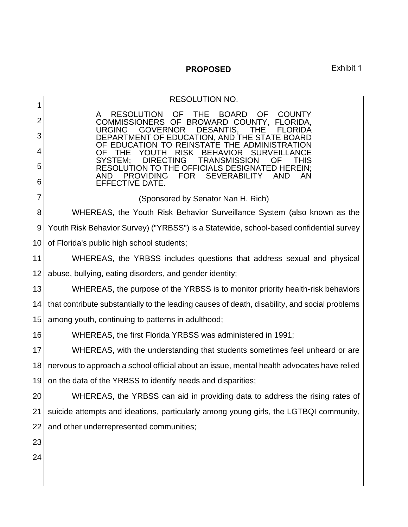**PROPOSED** Exhibit 1

RESOLUTION NO. RESOLUTION OF THE BOARD OF COUNTY<br>AMISSIONERS OF BROWARD\_COUNTY, FLORIDA, COMMISSIONERS OF BROWARD COUNTY, URGING GOVERNOR DESANTIS, THE FLORIDA DEPARTMENT OF EDUCATION, AND THE STATE BOARD OF EDUCATION TO REINSTATE THE ADMINISTRATION<br>OF THE YOUTH RISK BEHAVIOR SURVEILLANCE OF THE YOUTH RISK BEHAVIOR SURVEILLANCE<br>SYSTEM: DIRECTING TRANSMISSION OF THIS TRANSMISSION OF THIS RESOLUTION TO THE OFFICIALS DESIGNATED HEREIN;<br>AND PROVIDING FOR SEVERABILITY AND AN AND PROVIDING FOR SEVERABILITY AND AN EFFECTIVE DATE. (Sponsored by Senator Nan H. Rich) WHEREAS, the Youth Risk Behavior Surveillance System (also known as the Youth Risk Behavior Survey) ("YRBSS") is a Statewide, school-based confidential survey of Florida's public high school students; WHEREAS, the YRBSS includes questions that address sexual and physical abuse, bullying, eating disorders, and gender identity; WHEREAS, the purpose of the YRBSS is to monitor priority health-risk behaviors that contribute substantially to the leading causes of death, disability, and social problems among youth, continuing to patterns in adulthood; WHEREAS, the first Florida YRBSS was administered in 1991; WHEREAS, with the understanding that students sometimes feel unheard or are nervous to approach a school official about an issue, mental health advocates have relied on the data of the YRBSS to identify needs and disparities; WHEREAS, the YRBSS can aid in providing data to address the rising rates of suicide attempts and ideations, particularly among young girls, the LGTBQI community, and other underrepresented communities;

23 24

1

2

3

4

5

6

7

8

9

10

11

12

13

14

15

16

17

18

19

20

21

22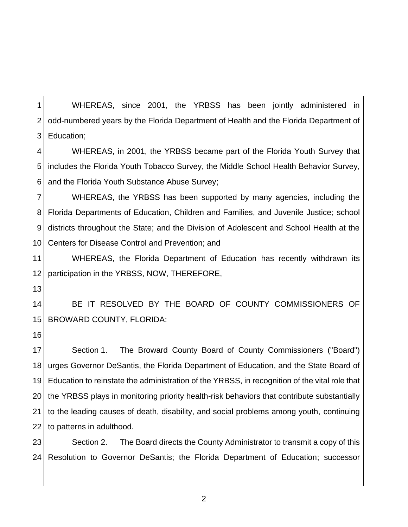1 2 3 WHEREAS, since 2001, the YRBSS has been jointly administered in odd-numbered years by the Florida Department of Health and the Florida Department of Education;

4 5 6 WHEREAS, in 2001, the YRBSS became part of the Florida Youth Survey that includes the Florida Youth Tobacco Survey, the Middle School Health Behavior Survey, and the Florida Youth Substance Abuse Survey;

7 8 9 10 WHEREAS, the YRBSS has been supported by many agencies, including the Florida Departments of Education, Children and Families, and Juvenile Justice; school districts throughout the State; and the Division of Adolescent and School Health at the Centers for Disease Control and Prevention; and

11 12 WHEREAS, the Florida Department of Education has recently withdrawn its participation in the YRBSS, NOW, THEREFORE,

13

14 15 BE IT RESOLVED BY THE BOARD OF COUNTY COMMISSIONERS OF BROWARD COUNTY, FLORIDA:

16

17 18 19 20 21 22 Section 1. The Broward County Board of County Commissioners ("Board") urges Governor DeSantis, the Florida Department of Education, and the State Board of Education to reinstate the administration of the YRBSS, in recognition of the vital role that the YRBSS plays in monitoring priority health-risk behaviors that contribute substantially to the leading causes of death, disability, and social problems among youth, continuing to patterns in adulthood.

23 24 Section 2. The Board directs the County Administrator to transmit a copy of this Resolution to Governor DeSantis; the Florida Department of Education; successor

2